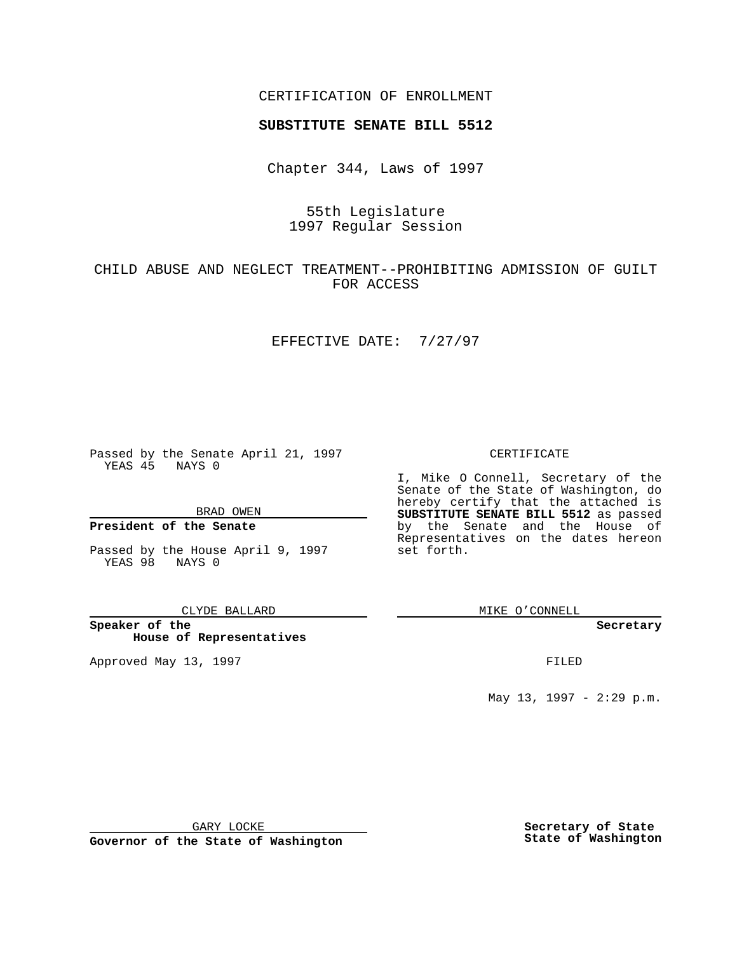## CERTIFICATION OF ENROLLMENT

# **SUBSTITUTE SENATE BILL 5512**

Chapter 344, Laws of 1997

# 55th Legislature 1997 Regular Session

# CHILD ABUSE AND NEGLECT TREATMENT--PROHIBITING ADMISSION OF GUILT FOR ACCESS

### EFFECTIVE DATE: 7/27/97

Passed by the Senate April 21, 1997 YEAS 45 NAYS 0

BRAD OWEN

## **President of the Senate**

Passed by the House April 9, 1997 YEAS 98 NAYS 0

#### CLYDE BALLARD

**Speaker of the House of Representatives**

Approved May 13, 1997 **FILED** 

### CERTIFICATE

I, Mike O Connell, Secretary of the Senate of the State of Washington, do hereby certify that the attached is **SUBSTITUTE SENATE BILL 5512** as passed by the Senate and the House of Representatives on the dates hereon set forth.

MIKE O'CONNELL

#### **Secretary**

May 13, 1997 - 2:29 p.m.

GARY LOCKE

**Governor of the State of Washington**

**Secretary of State State of Washington**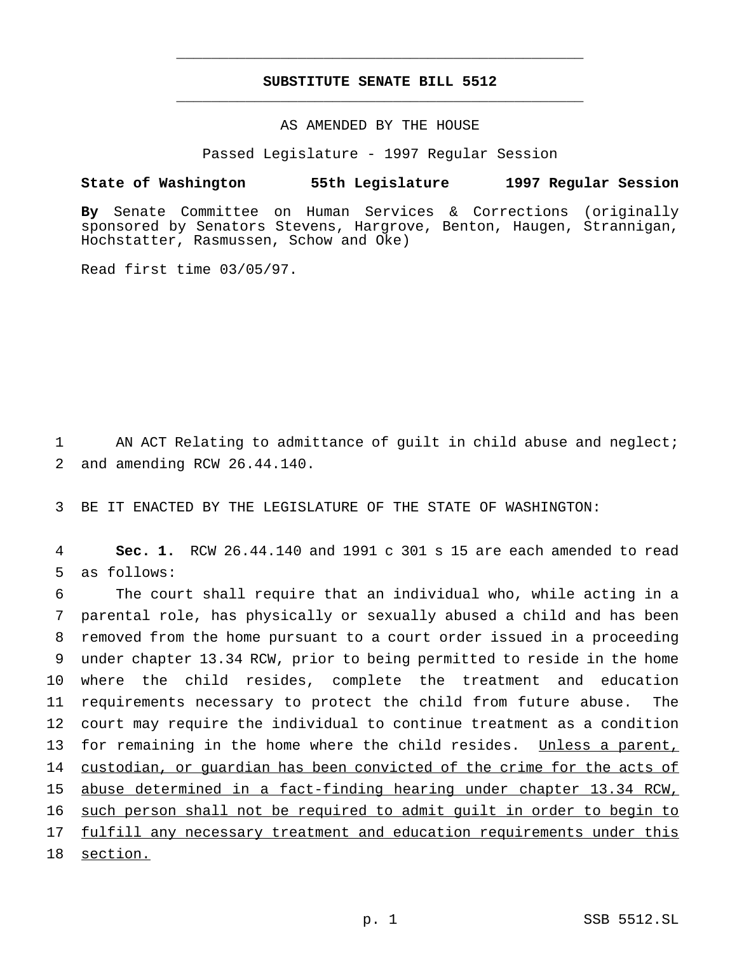## **SUBSTITUTE SENATE BILL 5512** \_\_\_\_\_\_\_\_\_\_\_\_\_\_\_\_\_\_\_\_\_\_\_\_\_\_\_\_\_\_\_\_\_\_\_\_\_\_\_\_\_\_\_\_\_\_\_

\_\_\_\_\_\_\_\_\_\_\_\_\_\_\_\_\_\_\_\_\_\_\_\_\_\_\_\_\_\_\_\_\_\_\_\_\_\_\_\_\_\_\_\_\_\_\_

## AS AMENDED BY THE HOUSE

Passed Legislature - 1997 Regular Session

### **State of Washington 55th Legislature 1997 Regular Session**

**By** Senate Committee on Human Services & Corrections (originally sponsored by Senators Stevens, Hargrove, Benton, Haugen, Strannigan, Hochstatter, Rasmussen, Schow and Oke)

Read first time 03/05/97.

1 AN ACT Relating to admittance of guilt in child abuse and neglect; 2 and amending RCW 26.44.140.

3 BE IT ENACTED BY THE LEGISLATURE OF THE STATE OF WASHINGTON:

4 **Sec. 1.** RCW 26.44.140 and 1991 c 301 s 15 are each amended to read 5 as follows:

 The court shall require that an individual who, while acting in a parental role, has physically or sexually abused a child and has been removed from the home pursuant to a court order issued in a proceeding under chapter 13.34 RCW, prior to being permitted to reside in the home where the child resides, complete the treatment and education requirements necessary to protect the child from future abuse. The court may require the individual to continue treatment as a condition 13 for remaining in the home where the child resides. Unless a parent, 14 custodian, or quardian has been convicted of the crime for the acts of abuse determined in a fact-finding hearing under chapter 13.34 RCW, such person shall not be required to admit guilt in order to begin to 17 fulfill any necessary treatment and education requirements under this 18 section.